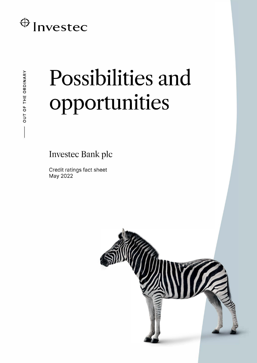# $\bigoplus$  Investec

# Possibilities and opportunities

**Investec Bank plc** 

Credit ratings fact sheet May 2022

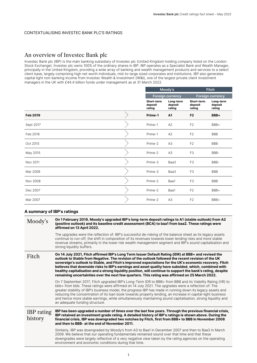#### CONTEXTUALISING INVESTEC BANK PLC'S RATINGS

### An overview of Investec Bank plc

Investec Bank plc (IBP) is the main banking subsidiary of Investec plc (United Kingdom holding company listed on the London Stock Exchange). Investec plc owns 100% of the ordinary shares in IBP. IBP operates as a Specialist Bank and Wealth Manager, principally in the United Kingdom, providing a wide array of banking and wealth management products and services to a select client base, largely comprising high net worth individuals, mid-to-large sized corporates and institutions. IBP also generates capital light non-banking income from Investec Wealth & Investment (IW&I), one of the largest private client investment managers in the UK with £44.4 billion funds under management as at 31 March 2022.

|                 | Moody's                         |                                |                                 | <b>Fitch</b>                   |  |
|-----------------|---------------------------------|--------------------------------|---------------------------------|--------------------------------|--|
|                 | <b>Foreign currency</b>         |                                |                                 | <b>Foreign currency</b>        |  |
|                 | Short-term<br>deposit<br>rating | Long-term<br>deposit<br>rating | Short-term<br>deposit<br>rating | Long-term<br>deposit<br>rating |  |
| <b>Feb 2019</b> | Prime-1                         | A1                             | F <sub>2</sub>                  | BBB+                           |  |
| Sept 2017       | Prime-1                         | A2                             | F <sub>2</sub>                  | BBB+                           |  |
| Feb 2016        | Prime-1                         | A2                             | F <sub>2</sub>                  | <b>BBB</b>                     |  |
| Oct 2015        | Prime-2                         | A3                             | F <sub>2</sub>                  | <b>BBB</b>                     |  |
| May 2015        | Prime-2                         | A3                             | F <sub>3</sub>                  | BBB-                           |  |
| Nov 2011        | Prime-3                         | Baa3                           | F <sub>3</sub>                  | BBB-                           |  |
| Mar 2009        | Prime-3                         | Baa3                           | F <sub>3</sub>                  | <b>BBB</b>                     |  |
| Nov 2008        | Prime-2                         | Baa1                           | F <sub>3</sub>                  | <b>BBB</b>                     |  |
| Dec 2007        | Prime-2                         | Baa1                           | F <sub>2</sub>                  | BBB+                           |  |
| Mar 2007        | Prime-2                         | A <sub>3</sub>                 | F <sub>2</sub>                  | BBB+                           |  |

#### **A summary of IBP's ratings**

| Moody's                      | On 1 February 2019, Moody's upgraded IBP's long-term deposit ratings to A1 (stable outlook) from A2<br>(positive outlook) and its baseline credit assessment (BCA) to baa1 from baa2. These ratings were<br>affirmed on 13 April 2022.                                                                                                                                                                                                                                                                                                                                                                                                        |  |  |  |  |  |
|------------------------------|-----------------------------------------------------------------------------------------------------------------------------------------------------------------------------------------------------------------------------------------------------------------------------------------------------------------------------------------------------------------------------------------------------------------------------------------------------------------------------------------------------------------------------------------------------------------------------------------------------------------------------------------------|--|--|--|--|--|
|                              | The upgrades were the reflection of: IBP's successful de-risking of the balance sheet as its legacy assets<br>continue to run-off, the shift in composition of its revenues towards lower lending risks and more stable<br>revenue streams, primarily in the lower risk wealth management segment and IBP's sound capitalisation and<br>strong liquidity buffers.                                                                                                                                                                                                                                                                             |  |  |  |  |  |
| Fitch                        | On 14 July 2021, Fitch affirmed IBP's Long Term Issuer Default Rating (IDR) at BBB+ and revised the<br>outlook to Stable from Negative. The revision of the outlook followed the recent revision of the UK<br>sovereign's outlook to Stable, and Fitch's improved expectations for the UK's economic recovery. Fitch<br>believes that downside risks to IBP's earnings and asset quality have subsided, which, combined with<br>healthy capitalisation and a strong liquidity position, will continue to support the bank's rating, despite<br>remaining uncertainties over the next few quarters. This rating was affirmed on 25 March 2022. |  |  |  |  |  |
|                              | On 7 September 2017, Fitch upgraded IBP's Long-Term IDR to BBB+ from BBB and its Viability Rating (VR) to<br>bbb+ from bbb. These ratings were affirmed on 14 July 2021. The upgrades were a reflection of: The<br>greater stability of IBP's business model, the progress IBP has made in running down its legacy assets and<br>reducing the concentration of its loan book towards property lending, an increase in capital-light business<br>and hence more stable earnings, while simultaneously maintaining sound capitalisation, strong liquidity and<br>an adequate funding structure.                                                 |  |  |  |  |  |
| <b>IBP</b> rating<br>history | IBP has been upgraded a number of times over the last few years. Through the previous financial crisis,<br>IBP retained an investment grade rating. A detailed history of IBP's ratings is shown above. During the<br>financial crisis, IBP was downgraded two notches by Fitch, first from BBB+ to BBB in November 2008<br>and then to BBB- at the end of November 2011.                                                                                                                                                                                                                                                                     |  |  |  |  |  |
|                              | Similarly, IBP was downgraded by Moody's from A3 to Baa1 in December 2007 and then to Baa3 in March<br>2009. We believe that our operating fundamentals remained sound over that time and that these<br>downgrades were largely reflective of a very negative view taken by the rating agencies on the operating<br>environment and economic conditions during that time.                                                                                                                                                                                                                                                                     |  |  |  |  |  |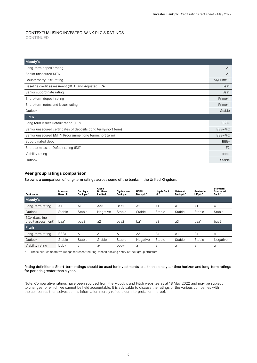#### CONTEXTUALISING INVESTEC BANK PLC'S RATINGS CONTINUED

| Moody's                                                          |                |
|------------------------------------------------------------------|----------------|
| Long-term deposit rating                                         | A <sub>1</sub> |
| Senior unsecured MTN                                             | A <sub>1</sub> |
| Counterparty Risk Rating                                         | A1/Prime-1     |
| Baseline credit assessment (BCA) and Adjusted BCA                | baa1           |
| Senior subordinate rating                                        | Baa1           |
| Short-term deposit rating                                        | Prime-1        |
| Short-term notes and issuer rating                               | Prime-1        |
| Outlook                                                          | Stable         |
| <b>Fitch</b>                                                     |                |
| Long term Issuer Default rating (IDR)                            | BBB+           |
| Senior unsecured certificates of deposits (long term/short term) | $BBB+/F2$      |
| Senior unsecured EMTN Programme (long term/short term)           | $BBB+/F2$      |
| Subordinated debt                                                | BBB-           |
| Short term Issuer Default rating (IDR)                           | F <sub>2</sub> |
| Viability rating                                                 | $bbb+$         |
| Outlook                                                          | Stable         |

#### **Peer group ratings comparison**

Below is a comparison of long-term ratings across some of the banks in the United Kingdom.

| <b>Bank name</b>                           | Investec<br><b>Bank plc</b> | <b>Barclays</b><br>Bank plc <sup>^</sup> | Close<br><b>Brothers</b><br>Limited | Clydesdale<br>Bank plc | <b>HSBC</b><br>Bank plc <sup>^</sup> | <b>Lloyds Bank</b><br>plc^ | <b>Natwest</b><br>Bank plc^ | <b>Santander</b><br>UK plc <sup>^</sup> | <b>Standard</b><br>Chartered<br>Bank <sup>^</sup> |
|--------------------------------------------|-----------------------------|------------------------------------------|-------------------------------------|------------------------|--------------------------------------|----------------------------|-----------------------------|-----------------------------------------|---------------------------------------------------|
| Moody's                                    |                             |                                          |                                     |                        |                                      |                            |                             |                                         |                                                   |
| Long-term rating                           | A <sub>1</sub>              | A <sub>1</sub>                           | Aa3                                 | Baa1                   | A <sub>1</sub>                       | A <sub>1</sub>             | A <sub>1</sub>              | A <sub>1</sub>                          | A <sub>1</sub>                                    |
| Outlook                                    | Stable                      | Stable                                   | Negative                            | Stable                 | Stable                               | Stable                     | Stable                      | Stable                                  | Stable                                            |
| <b>BCA</b> (baseline<br>credit assessment) | baa1                        | baa3                                     | a2                                  | baa2                   | ba1                                  | a3                         | a3                          | baa1                                    | baa2                                              |
| Fitch                                      |                             |                                          |                                     |                        |                                      |                            |                             |                                         |                                                   |
| Long-term rating                           | BBB+                        | $A+$                                     | $A -$                               | $A -$                  | $AA-$                                | $A+$                       | $A+$                        | $A+$                                    | $A+$                                              |
| Outlook                                    | Stable                      | Stable                                   | Stable                              | Stable                 | Negative                             | Stable                     | Stable                      | Stable                                  | Negative                                          |
| Viability rating                           | $bbb+$                      | a                                        | $a-$                                | $bbb+$                 | a                                    | a                          | a                           | a                                       | a                                                 |

^ These peer comparative ratings represent the ring-fenced banking entity of their group structure.

#### Rating definitions: Short-term ratings should be used for investments less than a one year time horizon and long-term ratings for periods greater than a year.

Note: Comparative ratings have been sourced from the Moody's and Fitch websites as at 18 May 2022 and may be subject to changes for which we cannot be held accountable. It is advisable to discuss the ratings of the various companies with the companies themselves as this information merely reflects our interpretation thereof.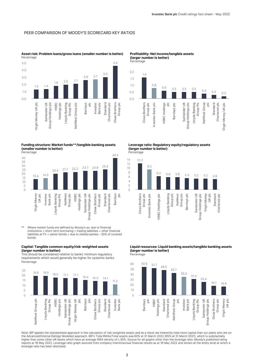#### PEER COMPARISON OF MOODY'S SCORECARD KEY RATIOS



**Asset risk: Problem loans/gross loans (smaller number is better)**

**(larger number is better)** Percentage

**Profitability: Net income/tangible assets**



#### **Funding structure: Market funds\*\*/tangible banking assets (smaller number is better)**

**Percentage** 30 35  $40$ 



Where market funds are defined by Moody's as: due to financial institutions + short-term borrowing + trading liabilities + other financial liabilities at FV + senior bonds + due to related parties – 50% of covered bonds.

#### **Capital: Tangible common equity/risk-weighted assets (larger number is better)**

This should be considered relative to banks' minimum regulatory requirements which would generally be higher for systemic banks. Percentage



**Leverage ratio: Regulatory equity/regulatory assets (larger number is better)**

Percentage

39.4



**Liquid resources: Liquid banking assets/tangible banking assets (larger number is better)** Percentage



Note: IBP applies the standardised approach in the calculation of risk-weighted assets and as a result we inherently hold more capital than our peers who are on the Advanced/Internal Ratings Modelled approach. IBP's Total RWAs/Total assets was 60% at 31 March 2022 (65% at 31 March 2021), which is substantially higher than some other UK banks which have an average RWA density of c.30%. Source for all graphs other than the leverage ratio: Moody's published rating reports at 18 May 2022. Leverage ratio graph sourced from company interim/annual financial results as at 18 May 2022 and shown at the entity level at which a leverage ratio has been disclosed.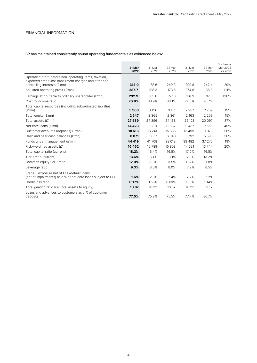#### FINANCIAL INFORMATION

#### IBP has maintained consistently sound operating fundamentals as evidenced below:

|                                                                                                                  | 31 Mar<br>2022 | 31 Mar<br>2021 | 31 Mar<br>2020 | 31 Mar<br>2019 | 31 Mar<br>2018 | % change<br>Mar 2022<br>vs 2018 |
|------------------------------------------------------------------------------------------------------------------|----------------|----------------|----------------|----------------|----------------|---------------------------------|
| Operating profit before non-operating items, taxation,<br>expected credit loss impairment charges and after non- |                |                |                |                |                |                                 |
| controlling interests (£'mn)                                                                                     | 313.0          | 178.6          | 249.3          | 299.8          | 242.4          | 29%                             |
| Adjusted operating profit (£'mn)                                                                                 | 287.7          | 108.3          | 173.6          | 274.8          | 136.3          | 111%                            |
| Earnings attributable to ordinary shareholder (£'mn)                                                             | 232.9          | 63.8           | 57.8           | 161.9          | 97.8           | 138%                            |
| Cost to income ratio                                                                                             | 70.8%          | 80.9%          | 80.1%          | 72.6%          | 76.7%          |                                 |
| Total capital resources (including subordinated liabilities)                                                     |                |                |                |                |                |                                 |
| (E'mn)                                                                                                           | 3 3 0 6        | 3 1 3 6        | 3 1 5 1        | 2967           | 2789           | 19%                             |
| Total equity (£'mn)                                                                                              | 2547           | 2 3 6 5        | 2 3 6 1        | 2 1 6 3        | 2 2 0 9        | 15%                             |
| Total assets (£'mn)                                                                                              | 27589          | 24 39 6        | 24 158         | 22 121         | 20 097         | 37%                             |
| Net core loans (£'mn)                                                                                            | 14 4 23        | 12 311         | 11832          | 10 4 8 7       | 9663           | 49%                             |
| Customer accounts (deposits) (£'mn)                                                                              | 18 616         | 16 2 41        | 15835          | 13 499         | 11970          | 56%                             |
| Cash and near cash balances (£'mn)                                                                               | 8871           | 6857           | 6 0 4 0        | 6792           | 5 5 9 8        | 58%                             |
| Funds under management (£'mn)                                                                                    | 44 4 19        | 41708          | 38 018         | 39 4 8 2       | 37 27 6        | 19%                             |
| Risk-weighted assets (£'mn)                                                                                      | 16462          | 15789          | 15 808         | 14 6 31        | 13744          | 20%                             |
| Total capital ratio (current)                                                                                    | 18.2%          | 16.4%          | 16.5%          | 17.0%          | 16.5%          |                                 |
| Tier 1 ratio (current)                                                                                           | 13.6%          | 13.4%          | 13.1%          | 12.9%          | 13.2%          |                                 |
| Common equity tier 1 ratio                                                                                       | 12.0%          | 11.8%          | 11.5%          | 11.2%          | 11.8%          |                                 |
| Leverage ratio                                                                                                   | 9.3%           | 8.0%           | 8.0%           | 7.9%           | 8.5%           |                                 |
| Stage 3 exposure net of ECL/default loans                                                                        |                |                |                |                |                |                                 |
| (net of impairments) as a % of net core loans subject to ECL                                                     | 1.6%           | 2.0%           | 2.4%           | 2.2%           | 2.2%           |                                 |
| Credit loss ratio                                                                                                | 0.17%          | 0.56%          | 0.69%          | 0.38%          | 1.14%          |                                 |
| Total gearing ratio (i.e. total assets to equity)                                                                | 10.8x          | 10.3x          | 10.6x          | 10.2x          | 9.1x           |                                 |
| Loans and advances to customers as a % of customer                                                               |                |                |                |                |                |                                 |
| deposits                                                                                                         | 77.5%          | 75.8%          | 75.5%          | 77.7%          | 80.7%          |                                 |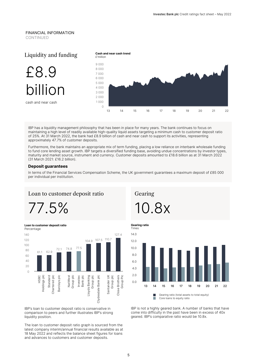#### FINANCIAL INFORMATION CONTINUED



IBP has a liquidity management philosophy that has been in place for many years. The bank continues to focus on maintaining a high level of readily available high-quality liquid assets targeting a minimum cash to customer deposit ratio of 25%. At 31 March 2022, the bank had £8.9 billion of cash and near cash to support its activities, representing approximately 47.7% of customer deposits.

Furthermore, the bank maintains an appropriate mix of term funding, placing a low reliance on interbank wholesale funding to fund core lending asset growth. IBP targets a diversified funding base, avoiding undue concentrations by investor types, maturity and market source, instrument and currency. Customer deposits amounted to £18.6 billion as at 31 March 2022 (31 March 2021: £16.2 billion).

#### **Deposit guarantees**

In terms of the Financial Services Compensation Scheme, the UK government guarantees a maximum deposit of £85 000 per individual per institution.

#### Loan to customer deposit ratio

77.5%



IBP's loan to customer deposit ratio is conservative in comparison to peers and further illustrates IBP's strong liquidity position.

The loan to customer deposit ratio graph is sourced from the latest company interim/annual financial results available as at 18 May 2022 and reflects the balance sheet figures for loans and advances to customers and customer deposits.

Gearing 10.8x



IBP is not a highly geared bank. A number of banks that have come into difficulty in the past have been in excess of 40x geared. IBP's comparative ratio would be 10.8x.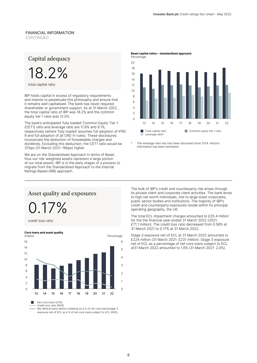#### FINANCIAL INFORMATION CONTINUED

## Capital adequacy



total capital ratio

IBP holds capital in excess of regulatory requirements and intends to perpetuate this philosophy and ensure that it remains well capitalised. The bank has never required shareholder or government support. As at 31 March 2022 , the total capital ratio of IBP was 18.2% and the common equity tier 1 ratio was 12.0%.

The bank's anticipated 'fully loaded' Common Equity Tier 1 (CET1) ratio and leverage ratio are 11.6% and 9.1%, respectively (where 'fully loaded' assumes full adoption of IFRS 9 and full adoption of all CRD IV rules). These disclosures incorporate the deduction of foreseeable charges and dividends. Excluding this deduction, the CET1 ratio would be 37bps (31 March 2021: 16bps) higher.

We are on the Standardised Approach in terms of Basel, thus our risk-weighted assets represent a large portion of our total assets. IBP is in the early stages of a process to migrate from the Standardised Approach to the Internal Ratings Based (IRB) approach.



The leverage ratio has only been disclosed since 2014. Historic information has been estimated.

Asset quality and exposures

0.17%

credit loss ratio



Net default loans before collateral as a % of net core loans/stage 3 exposure net of ECL as a % of net core loans subject to ECL (RHS)

The bulk of IBP's credit and counterparty risk arises through its private client and corporate client activities. The bank lends to high net worth individuals, mid to large sized corporates, public sector bodies and institutions. The majority of IBP's credit and counterparty exposures reside within its principal operating geography, the UK.

The total ECL impairment charges amounted to £25.4 million for the the financial year ended 31 March 2022 (2021: £71.1 million). The credit loss ratio decreased from 0.56% at 31 March 2021 to 0.17% at 31 March 2022.

Stage 3 exposure net of ECL at 31 March 2022 amounted to £224 million (31 March 2021: £231 million). Stage 3 exposure net of ECL as a percentage of net core loans subject to ECL at31 March 2022 amounted to 1.6% (31 March 2021: 2.0%).